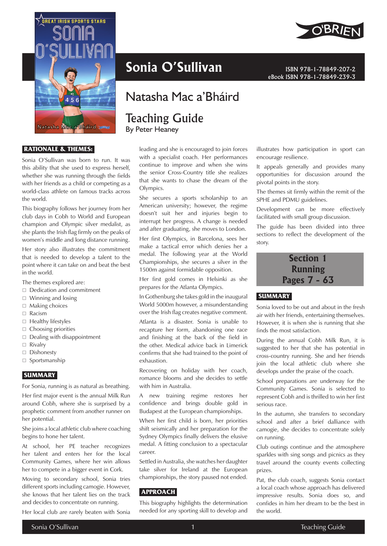

#### **RATIONALE & THEMES:**

Sonia O'Sullivan was born to run. It was this ability that she used to express herself, whether she was running through the fields with her friends as a child or competing as a world-class athlete on famous tracks across the world.

This biography follows her journey from her club days in Cobh to World and European champion and Olympic silver medalist, as she plants the Irish flag firmly on the peaks of women's middle and long distance running.

Her story also illustrates the commitment that is needed to develop a talent to the point where it can take on and beat the best in the world.

The themes explored are:

- Dedication and commitment
- $\Box$  Winning and losing
- $\Box$  Making choices
- □ Racism
- $\Box$  Healthy lifestyles
- $\Box$  Choosing priorities
- $\Box$  Dealing with disappointment
- □ Rivalry
- □ Dishonesty
- $\square$  Sportsmanship

## **SUMMARY**

For Sonia, running is as natural as breathing.

Her first major event is the annual Milk Run around Cobh, where she is surprised by a prophetic comment from another runner on her potential.

She joins a local athletic club where coaching begins to hone her talent.

At school, her PE teacher recognizes her talent and enters her for the local Community Games, where her win allows her to compete in a bigger event in Cork.

Moving to secondary school, Sonia tries different sports including camogie. However, she knows that her talent lies on the track and decides to concentrate on running.

Her local club are rarely beaten with Sonia





eBook ISBN 978-1-78849-239-3

# Natasha Mac a'Bháird

# Teaching Guide

By Peter Heaney

leading and she is encouraged to join forces with a specialist coach. Her performances continue to improve and when she wins the senior Cross-Country title she realizes that she wants to chase the dream of the Olympics.

She secures a sports scholarship to an American university; however, the regime doesn't suit her and injuries begin to interrupt her progress. A change is needed and after graduating, she moves to London.

Her first Olympics, in Barcelona, sees her make a tactical error which denies her a medal. The following year at the World Championships, she secures a silver in the 1500m against formidable opposition.

Her first gold comes in Helsinki as she prepares for the Atlanta Olympics.

In Gothenburg she takes gold in the inaugural World 5000m however, a misunderstanding over the Irish flag creates negative comment.

Atlanta is a disaster. Sonia is unable to recapture her form, abandoning one race and finishing at the back of the field in the other. Medical advice back in Limerick confirms that she had trained to the point of exhaustion.

Recovering on holiday with her coach, romance blooms and she decides to settle with him in Australia.

A new training regime restores her confidence and brings double gold in Budapest at the European championships.

When her first child is born, her priorities shift seismically and her preparation for the Sydney Olympics finally delivers the elusive medal. A fitting conclusion to a spectacular career.

Settled in Australia, she watches her daughter take silver for Ireland at the European championships, the story paused not ended.

## **APPROACH**

This biography highlights the determination needed for any sporting skill to develop and illustrates how participation in sport can encourage resilience.

It appeals generally and provides many opportunities for discussion around the pivotal points in the story.

The themes sit firmly within the remit of the SPHE and PDMU guidelines.

Development can be more effectively facilitated with small group discussion.

The guide has been divided into three sections to reflect the development of the story.

## **Section 1 Running Pages 7 - 63**

## **SUMMARY**

Sonia loved to be out and about in the fresh air with her friends, entertaining themselves. However, it is when she is running that she finds the most satisfaction.

During the annual Cobh Milk Run, it is suggested to her that she has potential in cross-country running. She and her friends join the local athletic club where she develops under the praise of the coach.

School preparations are underway for the Community Games. Sonia is selected to represent Cobh and is thrilled to win her first serious race.

In the autumn, she transfers to secondary school and after a brief dalliance with camogie, she decides to concentrate solely on running.

Club outings continue and the atmosphere sparkles with sing songs and picnics as they travel around the county events collecting prizes.

Pat, the club coach, suggests Sonia contact a local coach whose approach has delivered impressive results. Sonia does so, and confides in him her dream to be the best in the world.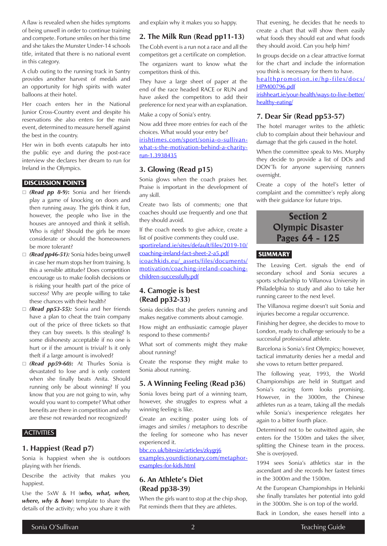A flaw is revealed when she hides symptoms of being unwell in order to continue training and compete. Fortune smiles on her this time and she takes the Munster Under-14 schools title, irritated that there is no national event in this category.

A club outing to the running track in Santry provides another harvest of medals and an opportunity for high spirits with water balloons at their hotel.

Her coach enters her in the National Junior Cross-Country event and despite his reservations she also enters for the main event, determined to measure herself against the best in the country.

Her win in both events catapults her into the public eye and during the post-race interview she declares her dream to run for Ireland in the Olympics.

#### **DISCUSSION POINTS**

- *(Read pp 8-9)***:** Sonia and her friends play a game of knocking on doors and then running away. The girls think it fun, however, the people who live in the houses are annoyed and think it selfish. Who is right? Should the girls be more considerate or should the homeowners be more tolerant?
- *(Read pp46-51):* Sonia hides being unwell in case her mum stops her from training. Is this a sensible attitude? Does competition encourage us to make foolish decisions or is risking your health part of the price of success? Why are people willing to take these chances with their health?
- *(Read pp53-55):* Sonia and her friends have a plan to cheat the train company out of the price of three tickets so that they can buy sweets. Is this stealing? Is some dishonesty acceptable if no one is hurt or if the amount is trivial? Is it only theft if a large amount is involved?
- *(Read pp59-60):* At Thurles Sonia is devastated to lose and is only content when she finally beats Anita. Should running only be about winning? If you know that you are not going to win, why would you want to compete? What other benefits are there in competition and why are these not rewarded nor recognized?

#### **ACTIVITIES**

#### **1. Happiest (Read p7)**

Sonia is happiest when she is outdoors playing with her friends.

Describe the activity that makes you happiest.

Use the 5xW & H (*who, what, when, where, why & how*) template to share the details of the activity; who you share it with and explain why it makes you so happy.

#### **2. The Milk Run (Read pp11-13)**

The Cobh event is a run not a race and all the competitors get a certificate on completion.

The organizers want to know what the competitors think of this.

They have a large sheet of paper at the end of the race headed RACE or RUN and have asked the competitors to add their preference for next year with an explanation.

Make a copy of Sonia's entry.

Now add three more entries for each of the choices. What would your entry be?

[irishtimes.com/sport/sonia-o-sullivan](https://www.irishtimes.com/sport/sonia-o-sullivan-what-s-the-motivation-behind-a-charity-run-1.3938435)[what-s-the-motivation-behind-a-charity](https://www.irishtimes.com/sport/sonia-o-sullivan-what-s-the-motivation-behind-a-charity-run-1.3938435)[run-1.3938435](https://www.irishtimes.com/sport/sonia-o-sullivan-what-s-the-motivation-behind-a-charity-run-1.3938435)

## **3. Glowing (Read p15)**

Sonia glows when the coach praises her. Praise is important in the development of any skill.

Create two lists of comments; one that coaches should use frequently and one that they should avoid.

If the coach needs to give advice, create a list of positive comments they could use. [sportireland.ie/sites/default/files/2019-10/](https://www.sportireland.ie/sites/default/files/2019-10/coaching-ireland-fact-sheet-2-a5.pdf) [coaching-ireland-fact-sheet-2-a5.pdf](https://www.sportireland.ie/sites/default/files/2019-10/coaching-ireland-fact-sheet-2-a5.pdf) [icoachkids.eu/\\_assets/files/documents/](https://www.icoachkids.eu/_assets/files/documents/motivation/coaching-ireland-coaching-children-successfully.pdf) [motivation/coaching-ireland-coaching](https://www.icoachkids.eu/_assets/files/documents/motivation/coaching-ireland-coaching-children-successfully.pdf)[children-successfully.pdf](https://www.icoachkids.eu/_assets/files/documents/motivation/coaching-ireland-coaching-children-successfully.pdf)

## **4. Camogie is best (Read pp32-33)**

Sonia decides that she prefers running and makes negative comments about camogie.

How might an enthusiastic camogie player respond to these comments?

What sort of comments might they make about running?

Create the response they might make to Sonia about running.

### **5. A Winning Feeling (Read p36)**

Sonia loves being part of a winning team, however, she struggles to express what a winning feeling is like.

Create an exciting poster using lots of images and similes / metaphors to describe the feeling for someone who has never experienced it.

[bbc.co.uk/bitesize/articles/zkygrj6](https://www.bbc.co.uk/bitesize/articles/zkygrj6) [examples.yourdictionary.com/metaphor](https://examples.yourdictionary.com/metaphor-examples-for-kids.html)[examples-for-kids.html](https://examples.yourdictionary.com/metaphor-examples-for-kids.html)

## **6. An Athlete's Diet (Read pp38-39)**

When the girls want to stop at the chip shop, Pat reminds them that they are athletes.

That evening, he decides that he needs to create a chart that will show them easily what foods they should eat and what foods they should avoid. Can you help him?

In groups decide on a clear attractive format for the chart and include the information you think is necessary for them to have.

[healthpromotion.ie/hp-files/docs/](https://www.healthpromotion.ie/hp-files/docs/HPM00796.pdf) [HPM00796.pdf](https://www.healthpromotion.ie/hp-files/docs/HPM00796.pdf)

[irishheart.ie/your-health/ways-to-live-better/](https://irishheart.ie/your-health/ways-to-live-better/healthy-eating/) [healthy-eating/](https://irishheart.ie/your-health/ways-to-live-better/healthy-eating/)

#### **7. Dear Sir (Read pp53-57)**

The hotel manager writes to the athletic club to complain about their behaviour and damage that the girls caused in the hotel.

When the committee speak to Mrs. Murphy they decide to provide a list of DOs and DON'Ts for anyone supervising runners overnight.

Create a copy of the hotel's letter of complaint and the committee's reply along with their guidance for future trips.

# **Section 2 Olympic Disaster Pages 64 - 125**

### **SUMMARY**

The Leaving Cert. signals the end of secondary school and Sonia secures a sports scholarship to Villanova University in Philadelphia to study and also to take her running career to the next level.

The Villanova regime doesn't suit Sonia and injuries become a regular occurrence.

Finishing her degree, she decides to move to London, ready to challenge seriously to be a successful professional athlete.

Barcelona is Sonia's first Olympics; however, tactical immaturity denies her a medal and she vows to return better prepared.

The following year, 1993, the World Championships are held in Stuttgart and Sonia's racing form looks promising. However, in the 3000m, the Chinese athletes run as a team, taking all the medals while Sonia's inexperience relegates her again to a bitter fourth place.

Determined not to be outwitted again, she enters for the 1500m and takes the silver, splitting the Chinese team in the process. She is overjoyed.

1994 sees Sonia's athletics star in the ascendant and she records her fastest times in the 3000m and the 1500m.

At the European Championships in Helsinki she finally translates her potential into gold in the 3000m. She is on top of the world.

Back in London, she eases herself into a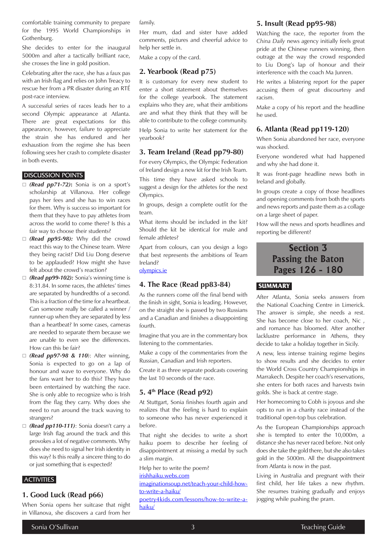comfortable training community to prepare for the 1995 World Championships in Gothenburg.

She decides to enter for the inaugural 5000m and after a tactically brilliant race, she crosses the line in gold position.

Celebrating after the race, she has a faux pas with an Irish flag and relies on John Treacy to rescue her from a PR disaster during an RTÉ post-race interview.

A successful series of races leads her to a second Olympic appearance at Atlanta. There are great expectations for this appearance, however, failure to appreciate the strain she has endured and her exhaustion from the regime she has been following sees her crash to complete disaster in both events.

## DISCUSSION POINTS

- *(Read pp71-72)***:** Sonia is on a sport's scholarship at Villanova. Her college pays her fees and she has to win races for them. Why is success so important for them that they have to pay athletes from across the world to come there? Is this a fair way to choose their students?
- *(Read pp95-98):* Why did the crowd react this way to the Chinese team. Were they being racist? Did Liu Dong deserve to be applauded? How might she have felt about the crowd's reaction?
- *(Read pp99-102):* Sonia's winning time is 8:31.84. In some races, the athletes' times are separated by hundredths of a second. This is a fraction of the time for a heartbeat. Can someone really be called a winner / runner-up when they are separated by less than a heartbeat? In some cases, cameras are needed to separate them because we are unable to even see the differences. How can this be fair?
- *(Read pp97-98 & 110*): After winning, Sonia is expected to go on a lap of honour and wave to everyone. Why do the fans want her to do this? They have been entertained by watching the race. She is only able to recognize who is Irish from the flag they carry. Why does she need to run around the track waving to strangers?
- *(Read pp110-111)*: Sonia doesn't carry a large Irish flag around the track and this provokes a lot of negative comments. Why does she need to signal her Irish identity in this way? Is this really a sincere thing to do or just something that is expected?

## **ACTIVITIES**

#### **1. Good Luck (Read p66)**

When Sonia opens her suitcase that night in Villanova, she discovers a card from her family.

Her mum, dad and sister have added comments, pictures and cheerful advice to help her settle in.

Make a copy of the card.

## **2. Yearbook (Read p75)**

It is customary for every new student to enter a short statement about themselves for the college yearbook. The statement explains who they are, what their ambitions are and what they think that they will be able to contribute to the college community.

Help Sonia to write her statement for the yearbook?

## **3. Team Ireland (Read pp79-80)**

For every Olympics, the Olympic Federation of Ireland design a new kit for the Irish Team.

This time they have asked schools to suggest a design for the athletes for the next Olympics.

In groups, design a complete outfit for the team.

What items should be included in the kit? Should the kit be identical for male and female athletes?

Apart from colours, can you design a logo that best represents the ambitions of Team Ireland?

#### [olympics.ie](https://olympics.ie)

#### **4. The Race (Read pp83-84)**

As the runners come off the final bend with the finish in sight, Sonia is leading. However, on the straight she is passed by two Russians and a Canadian and finishes a disappointing fourth.

Imagine that you are in the commentary box listening to the commentaries.

Make a copy of the commentaries from the Russian, Canadian and Irish reporters.

Create it as three separate podcasts covering the last 10 seconds of the race.

## **5. 4th Place (Read p92)**

At Stuttgart, Sonia finishes fourth again and realizes that the feeling is hard to explain to someone who has never experienced it before.

That night she decides to write a short haiku poem to describe her feeling of disappointment at missing a medal by such a slim margin.

Help her to write the poem?

[irishhaiku.webs.com](https://irishhaiku.webs.com)

[imaginationsoup.net/teach-your-child-how](https://imaginationsoup.net/teach-your-child-how-to-write-a-haiku/)[to-write-a-haiku/](https://imaginationsoup.net/teach-your-child-how-to-write-a-haiku/)

[poetry4kids.com/lessons/how-to-write-a](https://www.poetry4kids.com/lessons/how-to-write-a-haiku/)[haiku/](https://www.poetry4kids.com/lessons/how-to-write-a-haiku/)

#### **5. Insult (Read pp95-98)**

Watching the race, the reporter from the *China Daily* news agency initially feels great pride at the Chinese runners winning, then outrage at the way the crowd responded to Liu Dong's lap of honour and their interference with the coach Ma Junren.

He writes a blistering report for the paper accusing them of great discourtesy and racism.

Make a copy of his report and the headline he used.

#### **6. Atlanta (Read pp119-120)**

When Sonia abandoned her race, everyone was shocked.

Everyone wondered what had happened and why she had done it.

It was front-page headline news both in Ireland and globally.

In groups create a copy of those headlines and opening comments from both the sports and news reports and paste them as a collage on a large sheet of paper.

How will the news and sports headlines and reporting be different?

## **Section 3 Passing the Baton Pages 126 - 180**

#### **SUMMARY**

After Atlanta, Sonia seeks answers from the National Coaching Centre in Limerick. The answer is simple, she needs a rest. She has become close to her coach, Nic , and romance has bloomed. After another lacklustre performance in Athens, they decide to take a holiday together in Sicily.

A new, less intense training regime begins to show results and she decides to enter the World Cross Country Championships in Marrakech. Despite her coach's reservations, she enters for both races and harvests twin golds. She is back at centre stage.

Her homecoming to Cobh is joyous and she opts to run in a charity race instead of the traditional open-top bus celebration.

As the European Championships approach she is tempted to enter the 10,000m, a distance she has never raced before. Not only does she take the gold there, but she also takes gold in the 5000m. All the disappointment from Atlanta is now in the past.

Living in Australia and pregnant with their first child, her life takes a new rhythm. She resumes training gradually and enjoys jogging while pushing the pram.